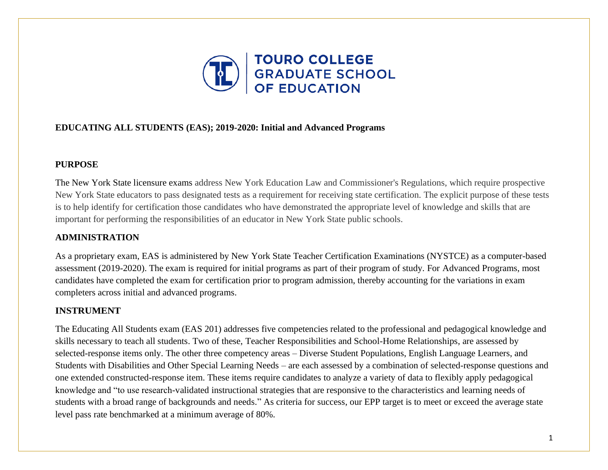

## **EDUCATING ALL STUDENTS (EAS); 2019-2020: Initial and Advanced Programs**

### **PURPOSE**

The New York State licensure exams address New York Education Law and Commissioner's Regulations, which require prospective New York State educators to pass designated tests as a requirement for receiving state certification. The explicit purpose of these tests is to help identify for certification those candidates who have demonstrated the appropriate level of knowledge and skills that are important for performing the responsibilities of an educator in New York State public schools.

# **ADMINISTRATION**

As a proprietary exam, EAS is administered by New York State Teacher Certification Examinations (NYSTCE) as a computer-based assessment (2019-2020). The exam is required for initial programs as part of their program of study. For Advanced Programs, most candidates have completed the exam for certification prior to program admission, thereby accounting for the variations in exam completers across initial and advanced programs.

# **INSTRUMENT**

The Educating All Students exam (EAS 201) addresses five competencies related to the professional and pedagogical knowledge and skills necessary to teach all students. Two of these, Teacher Responsibilities and School-Home Relationships, are assessed by selected-response items only. The other three competency areas – Diverse Student Populations, English Language Learners, and Students with Disabilities and Other Special Learning Needs – are each assessed by a combination of selected-response questions and one extended constructed-response item. These items require candidates to analyze a variety of data to flexibly apply pedagogical knowledge and "to use research-validated instructional strategies that are responsive to the characteristics and learning needs of students with a broad range of backgrounds and needs." As criteria for success, our EPP target is to meet or exceed the average state level pass rate benchmarked at a minimum average of 80%.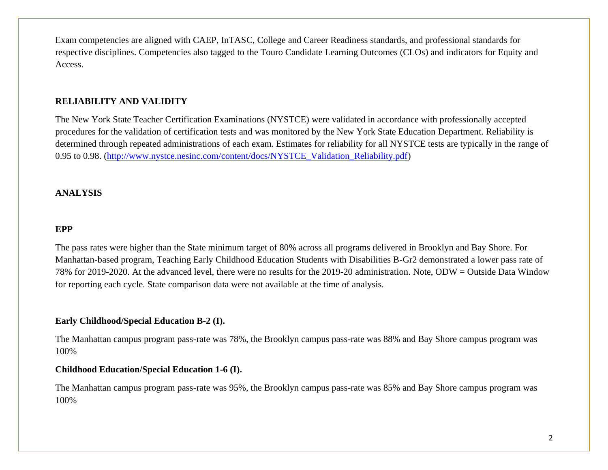Exam competencies are aligned with CAEP, InTASC, College and Career Readiness standards, and professional standards for respective disciplines. Competencies also tagged to the Touro Candidate Learning Outcomes (CLOs) and indicators for Equity and Access.

### **RELIABILITY AND VALIDITY**

The New York State Teacher Certification Examinations (NYSTCE) were validated in accordance with professionally accepted procedures for the validation of certification tests and was monitored by the New York State Education Department. Reliability is determined through repeated administrations of each exam. Estimates for reliability for all NYSTCE tests are typically in the range of 0.95 to 0.98. [\(http://www.nystce.nesinc.com/content/docs/NYSTCE\\_Validation\\_Reliability.pdf\)](http://www.nystce.nesinc.com/content/docs/NYSTCE_Validation_Reliability.pdf)

### **ANALYSIS**

#### **EPP**

The pass rates were higher than the State minimum target of 80% across all programs delivered in Brooklyn and Bay Shore. For Manhattan-based program, Teaching Early Childhood Education Students with Disabilities B-Gr2 demonstrated a lower pass rate of 78% for 2019-2020. At the advanced level, there were no results for the 2019-20 administration. Note, ODW = Outside Data Window for reporting each cycle. State comparison data were not available at the time of analysis.

### **Early Childhood/Special Education B-2 (I).**

The Manhattan campus program pass-rate was 78%, the Brooklyn campus pass-rate was 88% and Bay Shore campus program was 100%

### **Childhood Education/Special Education 1-6 (I).**

The Manhattan campus program pass-rate was 95%, the Brooklyn campus pass-rate was 85% and Bay Shore campus program was 100%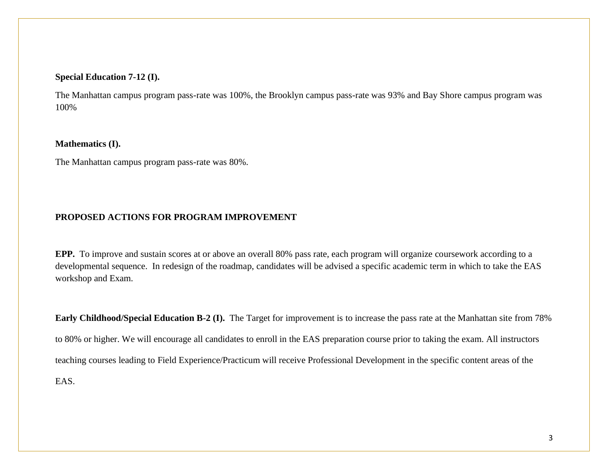#### **Special Education 7-12 (I).**

The Manhattan campus program pass-rate was 100%, the Brooklyn campus pass-rate was 93% and Bay Shore campus program was 100%

#### **Mathematics (I).**

The Manhattan campus program pass-rate was 80%.

## **PROPOSED ACTIONS FOR PROGRAM IMPROVEMENT**

**EPP.** To improve and sustain scores at or above an overall 80% pass rate, each program will organize coursework according to a developmental sequence. In redesign of the roadmap, candidates will be advised a specific academic term in which to take the EAS workshop and Exam.

**Early Childhood/Special Education B-2 (I).** The Target for improvement is to increase the pass rate at the Manhattan site from 78% to 80% or higher. We will encourage all candidates to enroll in the EAS preparation course prior to taking the exam. All instructors teaching courses leading to Field Experience/Practicum will receive Professional Development in the specific content areas of the EAS.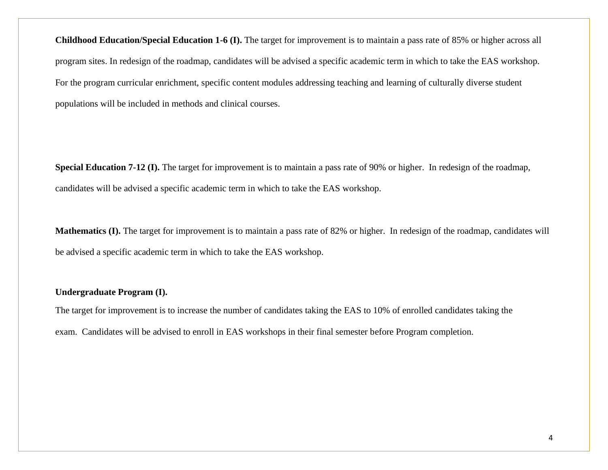**Childhood Education/Special Education 1-6 (I).** The target for improvement is to maintain a pass rate of 85% or higher across all program sites. In redesign of the roadmap, candidates will be advised a specific academic term in which to take the EAS workshop. For the program curricular enrichment, specific content modules addressing teaching and learning of culturally diverse student populations will be included in methods and clinical courses.

**Special Education 7-12 (I).** The target for improvement is to maintain a pass rate of 90% or higher. In redesign of the roadmap, candidates will be advised a specific academic term in which to take the EAS workshop.

**Mathematics (I).** The target for improvement is to maintain a pass rate of 82% or higher. In redesign of the roadmap, candidates will be advised a specific academic term in which to take the EAS workshop.

### **Undergraduate Program (I).**

The target for improvement is to increase the number of candidates taking the EAS to 10% of enrolled candidates taking the exam. Candidates will be advised to enroll in EAS workshops in their final semester before Program completion.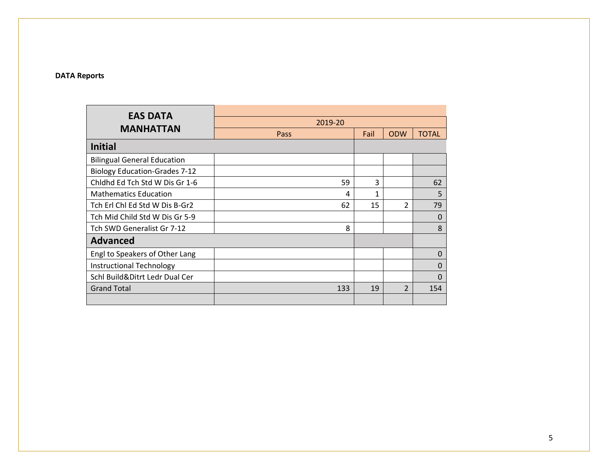#### **DATA Reports**

| <b>EAS DATA</b>                      |         |      |                          |              |
|--------------------------------------|---------|------|--------------------------|--------------|
|                                      | 2019-20 |      |                          |              |
| <b>MANHATTAN</b>                     | Pass    | Fail | <b>ODW</b>               | <b>TOTAL</b> |
| <b>Initial</b>                       |         |      |                          |              |
| <b>Bilingual General Education</b>   |         |      |                          |              |
| <b>Biology Education-Grades 7-12</b> |         |      |                          |              |
| Chidhd Ed Tch Std W Dis Gr 1-6       | 59      | 3    |                          | 62           |
| <b>Mathematics Education</b>         | 4       | 1    |                          | 5            |
| Tch Erl Chl Ed Std W Dis B-Gr2       | 62      | 15   | $\overline{\mathcal{L}}$ | 79           |
| Tch Mid Child Std W Dis Gr 5-9       |         |      |                          | 0            |
| Tch SWD Generalist Gr 7-12           | 8       |      |                          | 8            |
| <b>Advanced</b>                      |         |      |                          |              |
| Engl to Speakers of Other Lang       |         |      |                          | 0            |
| Instructional Technology             |         |      |                          | 0            |
| Schl Build&Ditrt Ledr Dual Cer       |         |      |                          | O            |
| <b>Grand Total</b>                   | 133     | 19   | $\overline{\phantom{a}}$ | 154          |
|                                      |         |      |                          |              |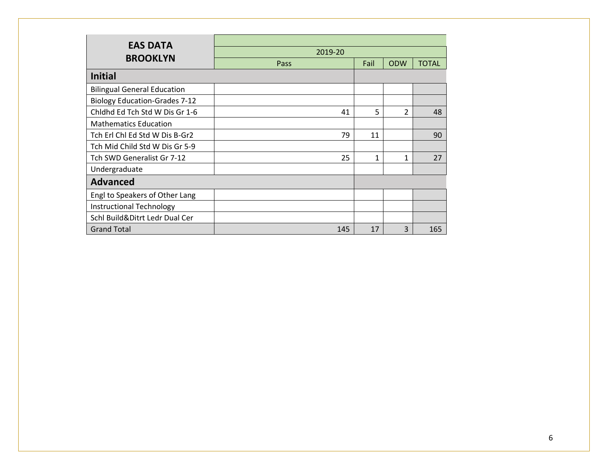| <b>EAS DATA</b>                      |         |              |                |              |
|--------------------------------------|---------|--------------|----------------|--------------|
|                                      | 2019-20 |              |                |              |
| <b>BROOKLYN</b>                      | Pass    | Fail         | <b>ODW</b>     | <b>TOTAL</b> |
| <b>Initial</b>                       |         |              |                |              |
| <b>Bilingual General Education</b>   |         |              |                |              |
| <b>Biology Education-Grades 7-12</b> |         |              |                |              |
| Chidhd Ed Tch Std W Dis Gr 1-6       | 41      | 5            | $\overline{2}$ | 48           |
| <b>Mathematics Education</b>         |         |              |                |              |
| Tch Erl Chl Ed Std W Dis B-Gr2       | 79      | 11           |                | 90           |
| Tch Mid Child Std W Dis Gr 5-9       |         |              |                |              |
| Tch SWD Generalist Gr 7-12           | 25      | $\mathbf{1}$ | $\mathbf{1}$   | 27           |
| Undergraduate                        |         |              |                |              |
| <b>Advanced</b>                      |         |              |                |              |
| Engl to Speakers of Other Lang       |         |              |                |              |
| Instructional Technology             |         |              |                |              |
| Schl Build&Ditrt Ledr Dual Cer       |         |              |                |              |
| <b>Grand Total</b>                   | 145     | 17           | 3              | 165          |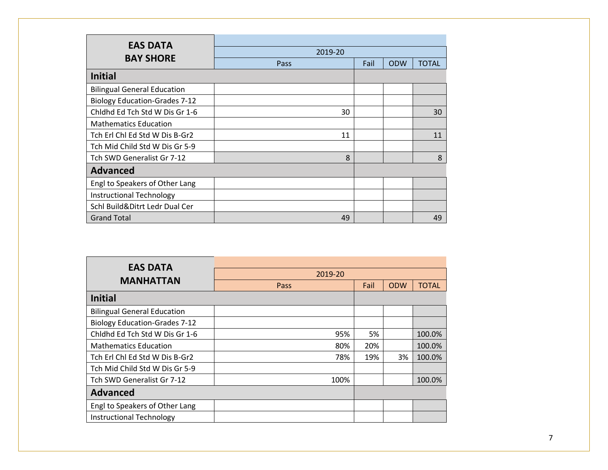| <b>EAS DATA</b>                      |         |      |            |              |
|--------------------------------------|---------|------|------------|--------------|
|                                      | 2019-20 |      |            |              |
| <b>BAY SHORE</b>                     | Pass    | Fail | <b>ODW</b> | <b>TOTAL</b> |
| <b>Initial</b>                       |         |      |            |              |
| <b>Bilingual General Education</b>   |         |      |            |              |
| <b>Biology Education-Grades 7-12</b> |         |      |            |              |
| Chidhd Ed Tch Std W Dis Gr 1-6       | 30      |      |            | 30           |
| <b>Mathematics Education</b>         |         |      |            |              |
| Tch Erl Chl Ed Std W Dis B-Gr2       | 11      |      |            | 11           |
| Tch Mid Child Std W Dis Gr 5-9       |         |      |            |              |
| Tch SWD Generalist Gr 7-12           | 8       |      |            | 8            |
| <b>Advanced</b>                      |         |      |            |              |
| Engl to Speakers of Other Lang       |         |      |            |              |
| Instructional Technology             |         |      |            |              |
| Schl Build&Ditrt Ledr Dual Cer       |         |      |            |              |
| <b>Grand Total</b>                   | 49      |      |            | 49           |

| <b>EAS DATA</b>                      |         |      |            |              |
|--------------------------------------|---------|------|------------|--------------|
|                                      | 2019-20 |      |            |              |
| <b>MANHATTAN</b>                     | Pass    | Fail | <b>ODW</b> | <b>TOTAL</b> |
| <b>Initial</b>                       |         |      |            |              |
| <b>Bilingual General Education</b>   |         |      |            |              |
| <b>Biology Education-Grades 7-12</b> |         |      |            |              |
| Chidhd Ed Tch Std W Dis Gr 1-6       | 95%     | 5%   |            | 100.0%       |
| <b>Mathematics Education</b>         | 80%     | 20%  |            | 100.0%       |
| Tch Erl Chl Ed Std W Dis B-Gr2       | 78%     | 19%  | 3%         | 100.0%       |
| Tch Mid Child Std W Dis Gr 5-9       |         |      |            |              |
| Tch SWD Generalist Gr 7-12           | 100%    |      |            | 100.0%       |
| <b>Advanced</b>                      |         |      |            |              |
| Engl to Speakers of Other Lang       |         |      |            |              |
| <b>Instructional Technology</b>      |         |      |            |              |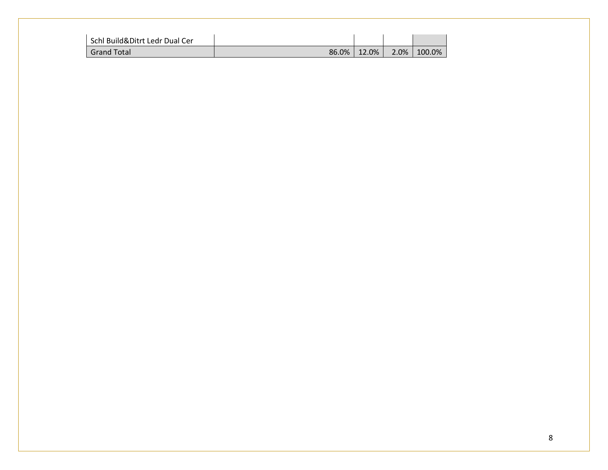| Schl Build&Ditrt Ledr Dual Cer |       |          |      |           |
|--------------------------------|-------|----------|------|-----------|
| <b>Grand Total</b>             | 86.0% | $12.0\%$ | 2.0% | $100.0\%$ |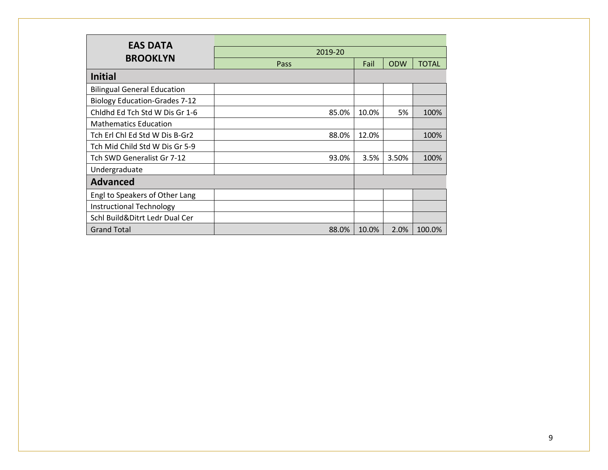| <b>EAS DATA</b>                      |             |       |            |              |
|--------------------------------------|-------------|-------|------------|--------------|
|                                      | 2019-20     |       |            |              |
| <b>BROOKLYN</b>                      | <b>Pass</b> | Fail  | <b>ODW</b> | <b>TOTAL</b> |
| <b>Initial</b>                       |             |       |            |              |
| <b>Bilingual General Education</b>   |             |       |            |              |
| <b>Biology Education-Grades 7-12</b> |             |       |            |              |
| Chidhd Ed Tch Std W Dis Gr 1-6       | 85.0%       | 10.0% | 5%         | 100%         |
| <b>Mathematics Education</b>         |             |       |            |              |
| Tch Erl Chl Ed Std W Dis B-Gr2       | 88.0%       | 12.0% |            | 100%         |
| Tch Mid Child Std W Dis Gr 5-9       |             |       |            |              |
| Tch SWD Generalist Gr 7-12           | 93.0%       | 3.5%  | 3.50%      | 100%         |
| Undergraduate                        |             |       |            |              |
| <b>Advanced</b>                      |             |       |            |              |
| Engl to Speakers of Other Lang       |             |       |            |              |
| <b>Instructional Technology</b>      |             |       |            |              |
| Schl Build&Ditrt Ledr Dual Cer       |             |       |            |              |
| <b>Grand Total</b>                   | 88.0%       | 10.0% | 2.0%       | 100.0%       |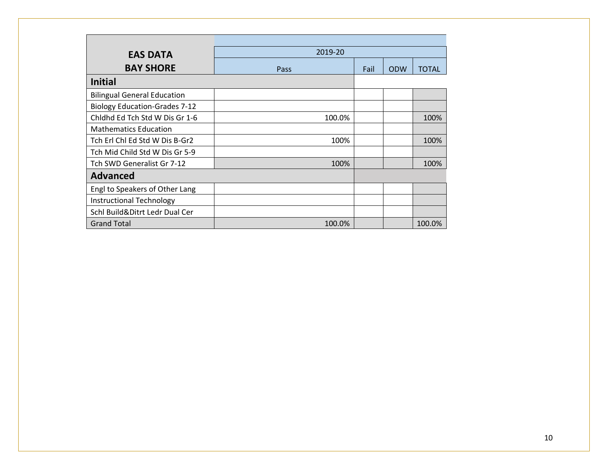| <b>EAS DATA</b>                      | 2019-20 |      |            |              |
|--------------------------------------|---------|------|------------|--------------|
| <b>BAY SHORE</b>                     | Pass    | Fail | <b>ODW</b> | <b>TOTAL</b> |
| <b>Initial</b>                       |         |      |            |              |
| <b>Bilingual General Education</b>   |         |      |            |              |
| <b>Biology Education-Grades 7-12</b> |         |      |            |              |
| Chidhd Ed Tch Std W Dis Gr 1-6       | 100.0%  |      |            | 100%         |
| <b>Mathematics Education</b>         |         |      |            |              |
| Tch Erl Chl Ed Std W Dis B-Gr2       | 100%    |      |            | 100%         |
| Tch Mid Child Std W Dis Gr 5-9       |         |      |            |              |
| Tch SWD Generalist Gr 7-12           | 100%    |      |            | 100%         |
| <b>Advanced</b>                      |         |      |            |              |
| Engl to Speakers of Other Lang       |         |      |            |              |
| Instructional Technology             |         |      |            |              |
| Schl Build&Ditrt Ledr Dual Cer       |         |      |            |              |
| <b>Grand Total</b>                   | 100.0%  |      |            | 100.0%       |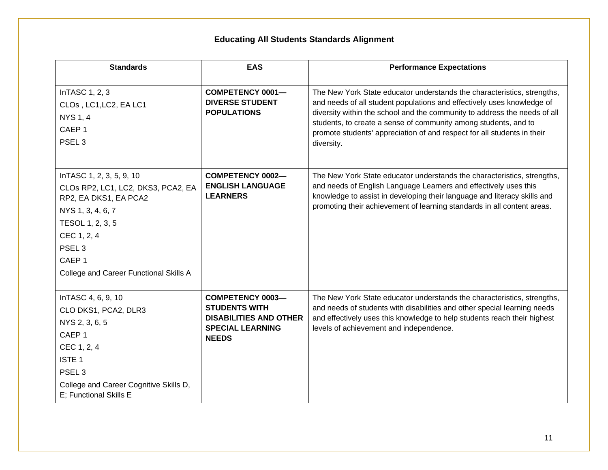# **Educating All Students Standards Alignment**

| <b>Standards</b>                                                                                                                                                                                                                    | <b>EAS</b>                                                                                                                  | <b>Performance Expectations</b>                                                                                                                                                                                                                                                                                                                                                            |
|-------------------------------------------------------------------------------------------------------------------------------------------------------------------------------------------------------------------------------------|-----------------------------------------------------------------------------------------------------------------------------|--------------------------------------------------------------------------------------------------------------------------------------------------------------------------------------------------------------------------------------------------------------------------------------------------------------------------------------------------------------------------------------------|
| InTASC 1, 2, 3<br>CLOs, LC1, LC2, EA LC1<br><b>NYS 1, 4</b><br>CAEP <sub>1</sub><br>PSEL <sub>3</sub>                                                                                                                               | <b>COMPETENCY 0001-</b><br><b>DIVERSE STUDENT</b><br><b>POPULATIONS</b>                                                     | The New York State educator understands the characteristics, strengths,<br>and needs of all student populations and effectively uses knowledge of<br>diversity within the school and the community to address the needs of all<br>students, to create a sense of community among students, and to<br>promote students' appreciation of and respect for all students in their<br>diversity. |
| InTASC 1, 2, 3, 5, 9, 10<br>CLOs RP2, LC1, LC2, DKS3, PCA2, EA<br>RP2, EA DKS1, EA PCA2<br>NYS 1, 3, 4, 6, 7<br>TESOL 1, 2, 3, 5<br>CEC 1, 2, 4<br>PSEL <sub>3</sub><br>CAEP <sub>1</sub><br>College and Career Functional Skills A | <b>COMPETENCY 0002-</b><br><b>ENGLISH LANGUAGE</b><br><b>LEARNERS</b>                                                       | The New York State educator understands the characteristics, strengths,<br>and needs of English Language Learners and effectively uses this<br>knowledge to assist in developing their language and literacy skills and<br>promoting their achievement of learning standards in all content areas.                                                                                         |
| InTASC 4, 6, 9, 10<br>CLO DKS1, PCA2, DLR3<br>NYS 2, 3, 6, 5<br>CAEP <sub>1</sub><br>CEC 1, 2, 4<br><b>ISTE 1</b><br>PSEL <sub>3</sub><br>College and Career Cognitive Skills D,<br>E; Functional Skills E                          | <b>COMPETENCY 0003-</b><br><b>STUDENTS WITH</b><br><b>DISABILITIES AND OTHER</b><br><b>SPECIAL LEARNING</b><br><b>NEEDS</b> | The New York State educator understands the characteristics, strengths,<br>and needs of students with disabilities and other special learning needs<br>and effectively uses this knowledge to help students reach their highest<br>levels of achievement and independence.                                                                                                                 |